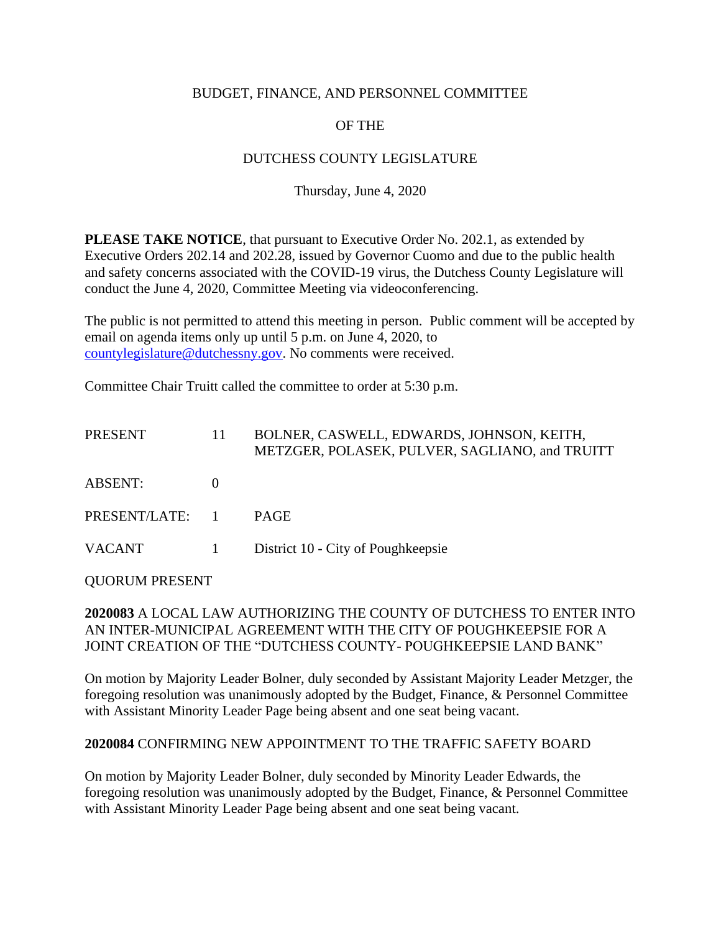### BUDGET, FINANCE, AND PERSONNEL COMMITTEE

# OF THE

## DUTCHESS COUNTY LEGISLATURE

### Thursday, June 4, 2020

**PLEASE TAKE NOTICE**, that pursuant to Executive Order No. 202.1, as extended by Executive Orders 202.14 and 202.28, issued by Governor Cuomo and due to the public health and safety concerns associated with the COVID-19 virus, the Dutchess County Legislature will conduct the June 4, 2020, Committee Meeting via videoconferencing.

The public is not permitted to attend this meeting in person. Public comment will be accepted by email on agenda items only up until 5 p.m. on June 4, 2020, to [countylegislature@dutchessny.gov.](mailto:countylegislature@dutchessny.gov) No comments were received.

Committee Chair Truitt called the committee to order at 5:30 p.m.

| <b>PRESENT</b> | 11 | BOLNER, CASWELL, EDWARDS, JOHNSON, KEITH,<br>METZGER, POLASEK, PULVER, SAGLIANO, and TRUITT |
|----------------|----|---------------------------------------------------------------------------------------------|
| <b>ABSENT:</b> |    |                                                                                             |
| PRESENT/LATE:  |    | <b>PAGE</b>                                                                                 |
| <b>VACANT</b>  | 1  | District 10 - City of Poughkeepsie                                                          |
|                |    |                                                                                             |

QUORUM PRESENT

## **2020083** A LOCAL LAW AUTHORIZING THE COUNTY OF DUTCHESS TO ENTER INTO AN INTER-MUNICIPAL AGREEMENT WITH THE CITY OF POUGHKEEPSIE FOR A JOINT CREATION OF THE "DUTCHESS COUNTY- POUGHKEEPSIE LAND BANK"

On motion by Majority Leader Bolner, duly seconded by Assistant Majority Leader Metzger, the foregoing resolution was unanimously adopted by the Budget, Finance, & Personnel Committee with Assistant Minority Leader Page being absent and one seat being vacant.

#### **2020084** CONFIRMING NEW APPOINTMENT TO THE TRAFFIC SAFETY BOARD

On motion by Majority Leader Bolner, duly seconded by Minority Leader Edwards, the foregoing resolution was unanimously adopted by the Budget, Finance, & Personnel Committee with Assistant Minority Leader Page being absent and one seat being vacant.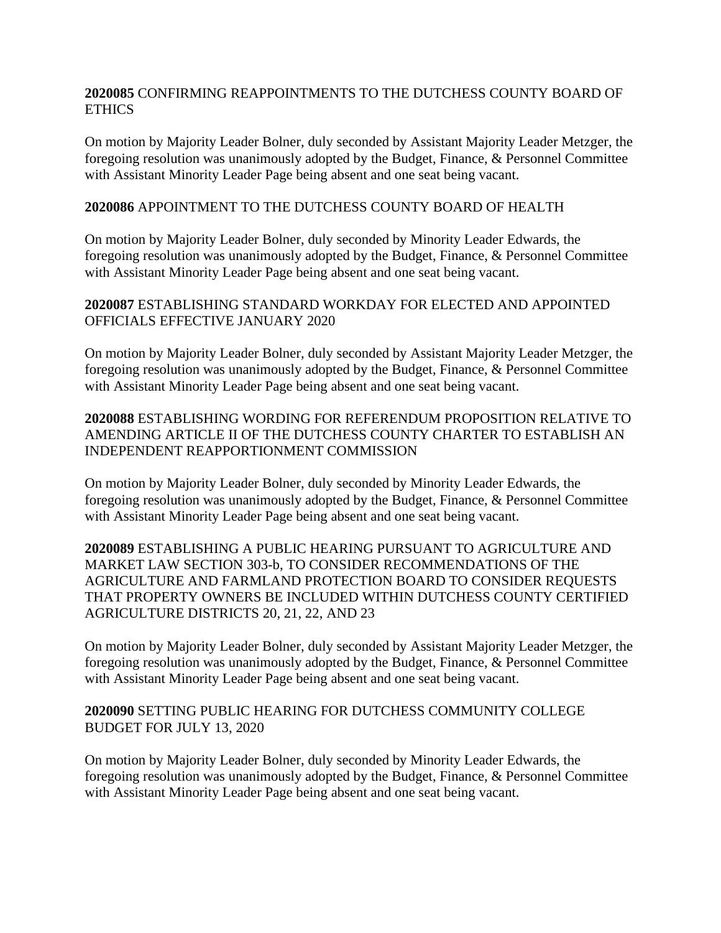#### **2020085** CONFIRMING REAPPOINTMENTS TO THE DUTCHESS COUNTY BOARD OF ETHICS

On motion by Majority Leader Bolner, duly seconded by Assistant Majority Leader Metzger, the foregoing resolution was unanimously adopted by the Budget, Finance, & Personnel Committee with Assistant Minority Leader Page being absent and one seat being vacant.

#### **2020086** APPOINTMENT TO THE DUTCHESS COUNTY BOARD OF HEALTH

On motion by Majority Leader Bolner, duly seconded by Minority Leader Edwards, the foregoing resolution was unanimously adopted by the Budget, Finance, & Personnel Committee with Assistant Minority Leader Page being absent and one seat being vacant.

### **2020087** ESTABLISHING STANDARD WORKDAY FOR ELECTED AND APPOINTED OFFICIALS EFFECTIVE JANUARY 2020

On motion by Majority Leader Bolner, duly seconded by Assistant Majority Leader Metzger, the foregoing resolution was unanimously adopted by the Budget, Finance, & Personnel Committee with Assistant Minority Leader Page being absent and one seat being vacant.

## **2020088** ESTABLISHING WORDING FOR REFERENDUM PROPOSITION RELATIVE TO AMENDING ARTICLE II OF THE DUTCHESS COUNTY CHARTER TO ESTABLISH AN INDEPENDENT REAPPORTIONMENT COMMISSION

On motion by Majority Leader Bolner, duly seconded by Minority Leader Edwards, the foregoing resolution was unanimously adopted by the Budget, Finance, & Personnel Committee with Assistant Minority Leader Page being absent and one seat being vacant.

**2020089** ESTABLISHING A PUBLIC HEARING PURSUANT TO AGRICULTURE AND MARKET LAW SECTION 303-b, TO CONSIDER RECOMMENDATIONS OF THE AGRICULTURE AND FARMLAND PROTECTION BOARD TO CONSIDER REQUESTS THAT PROPERTY OWNERS BE INCLUDED WITHIN DUTCHESS COUNTY CERTIFIED AGRICULTURE DISTRICTS 20, 21, 22, AND 23

On motion by Majority Leader Bolner, duly seconded by Assistant Majority Leader Metzger, the foregoing resolution was unanimously adopted by the Budget, Finance, & Personnel Committee with Assistant Minority Leader Page being absent and one seat being vacant.

#### **2020090** SETTING PUBLIC HEARING FOR DUTCHESS COMMUNITY COLLEGE BUDGET FOR JULY 13, 2020

On motion by Majority Leader Bolner, duly seconded by Minority Leader Edwards, the foregoing resolution was unanimously adopted by the Budget, Finance, & Personnel Committee with Assistant Minority Leader Page being absent and one seat being vacant.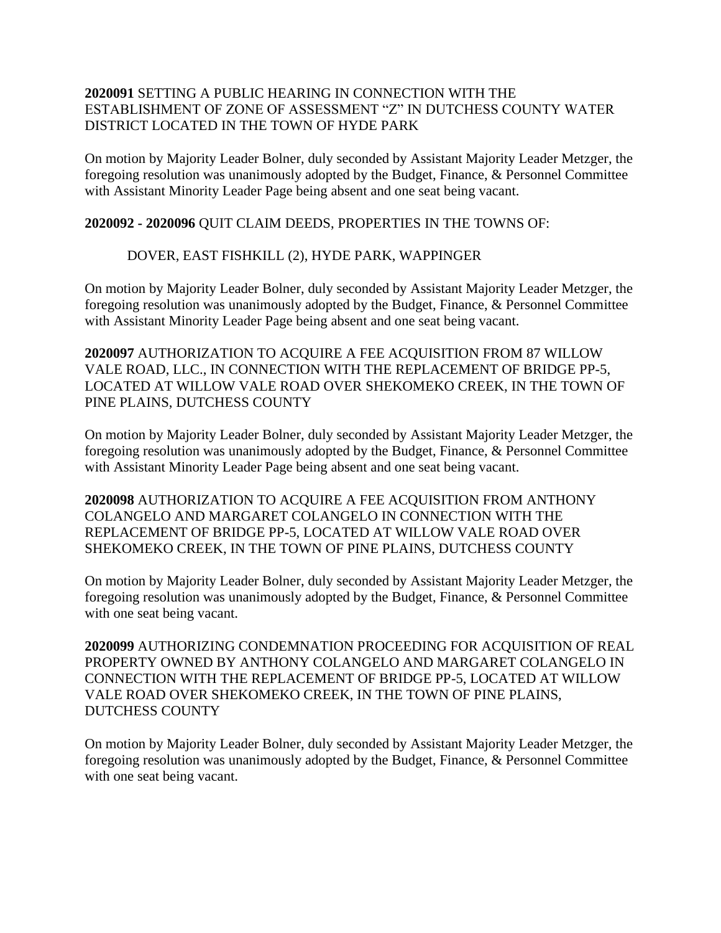### **2020091** SETTING A PUBLIC HEARING IN CONNECTION WITH THE ESTABLISHMENT OF ZONE OF ASSESSMENT "Z" IN DUTCHESS COUNTY WATER DISTRICT LOCATED IN THE TOWN OF HYDE PARK

On motion by Majority Leader Bolner, duly seconded by Assistant Majority Leader Metzger, the foregoing resolution was unanimously adopted by the Budget, Finance, & Personnel Committee with Assistant Minority Leader Page being absent and one seat being vacant.

**2020092 - 2020096** QUIT CLAIM DEEDS, PROPERTIES IN THE TOWNS OF:

## DOVER, EAST FISHKILL (2), HYDE PARK, WAPPINGER

On motion by Majority Leader Bolner, duly seconded by Assistant Majority Leader Metzger, the foregoing resolution was unanimously adopted by the Budget, Finance, & Personnel Committee with Assistant Minority Leader Page being absent and one seat being vacant.

**2020097** AUTHORIZATION TO ACQUIRE A FEE ACQUISITION FROM 87 WILLOW VALE ROAD, LLC., IN CONNECTION WITH THE REPLACEMENT OF BRIDGE PP-5, LOCATED AT WILLOW VALE ROAD OVER SHEKOMEKO CREEK, IN THE TOWN OF PINE PLAINS, DUTCHESS COUNTY

On motion by Majority Leader Bolner, duly seconded by Assistant Majority Leader Metzger, the foregoing resolution was unanimously adopted by the Budget, Finance, & Personnel Committee with Assistant Minority Leader Page being absent and one seat being vacant.

**2020098** AUTHORIZATION TO ACQUIRE A FEE ACQUISITION FROM ANTHONY COLANGELO AND MARGARET COLANGELO IN CONNECTION WITH THE REPLACEMENT OF BRIDGE PP-5, LOCATED AT WILLOW VALE ROAD OVER SHEKOMEKO CREEK, IN THE TOWN OF PINE PLAINS, DUTCHESS COUNTY

On motion by Majority Leader Bolner, duly seconded by Assistant Majority Leader Metzger, the foregoing resolution was unanimously adopted by the Budget, Finance, & Personnel Committee with one seat being vacant.

**2020099** AUTHORIZING CONDEMNATION PROCEEDING FOR ACQUISITION OF REAL PROPERTY OWNED BY ANTHONY COLANGELO AND MARGARET COLANGELO IN CONNECTION WITH THE REPLACEMENT OF BRIDGE PP-5, LOCATED AT WILLOW VALE ROAD OVER SHEKOMEKO CREEK, IN THE TOWN OF PINE PLAINS, DUTCHESS COUNTY

On motion by Majority Leader Bolner, duly seconded by Assistant Majority Leader Metzger, the foregoing resolution was unanimously adopted by the Budget, Finance, & Personnel Committee with one seat being vacant.